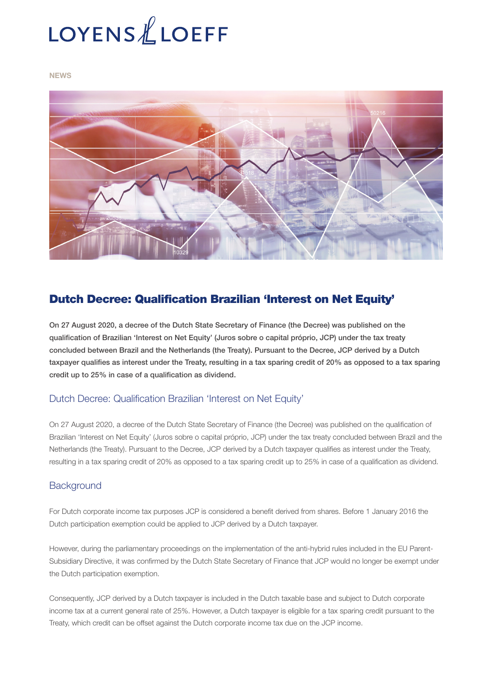# **LOYENS LOEFF**

**NEWS** 



## Dutch Decree: Qualification Brazilian 'Interest on Net Equity'

On 27 August 2020, a decree of the Dutch State Secretary of Finance (the Decree) was published on the qualification of Brazilian 'Interest on Net Equity' (Juros sobre o capital próprio, JCP) under the tax treaty concluded between Brazil and the Netherlands (the Treaty). Pursuant to the Decree, JCP derived by a Dutch taxpayer qualifies as interest under the Treaty, resulting in a tax sparing credit of 20% as opposed to a tax sparing credit up to 25% in case of a qualification as dividend.

#### Dutch Decree: Qualification Brazilian 'Interest on Net Equity'

On 27 August 2020, a decree of the Dutch State Secretary of Finance (the Decree) was published on the qualification of Brazilian 'Interest on Net Equity' (Juros sobre o capital próprio, JCP) under the tax treaty concluded between Brazil and the Netherlands (the Treaty). Pursuant to the Decree, JCP derived by a Dutch taxpayer qualifies as interest under the Treaty, resulting in a tax sparing credit of 20% as opposed to a tax sparing credit up to 25% in case of a qualification as dividend.

#### **Background**

For Dutch corporate income tax purposes JCP is considered a benefit derived from shares. Before 1 January 2016 the Dutch participation exemption could be applied to JCP derived by a Dutch taxpayer.

However, during the parliamentary proceedings on the implementation of the anti-hybrid rules included in the EU Parent-Subsidiary Directive, it was confirmed by the Dutch State Secretary of Finance that JCP would no longer be exempt under the Dutch participation exemption.

Consequently, JCP derived by a Dutch taxpayer is included in the Dutch taxable base and subject to Dutch corporate income tax at a current general rate of 25%. However, a Dutch taxpayer is eligible for a tax sparing credit pursuant to the Treaty, which credit can be offset against the Dutch corporate income tax due on the JCP income.